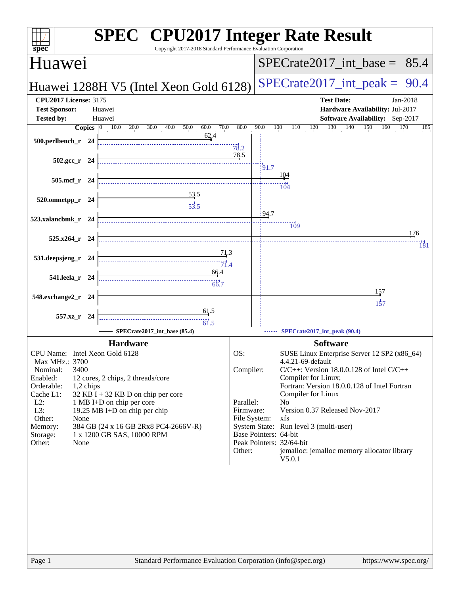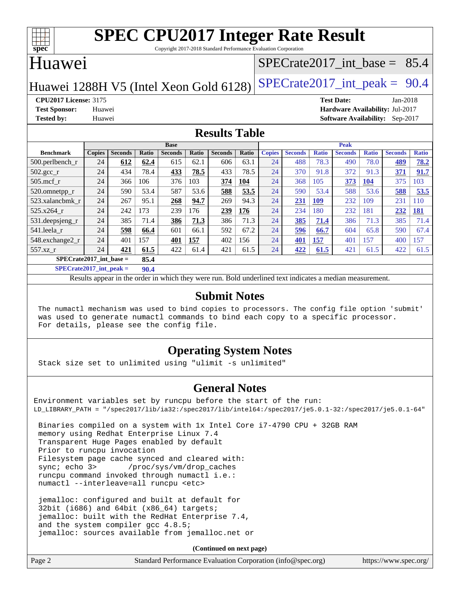

Copyright 2017-2018 Standard Performance Evaluation Corporation

#### Huawei

#### [SPECrate2017\\_int\\_base =](http://www.spec.org/auto/cpu2017/Docs/result-fields.html#SPECrate2017intbase) 85.4

Huawei 1288H V5 (Intel Xeon Gold 6128) SPECrate  $2017$ \_int\_peak = 90.4

**[CPU2017 License:](http://www.spec.org/auto/cpu2017/Docs/result-fields.html#CPU2017License)** 3175 **[Test Date:](http://www.spec.org/auto/cpu2017/Docs/result-fields.html#TestDate)** Jan-2018 **[Test Sponsor:](http://www.spec.org/auto/cpu2017/Docs/result-fields.html#TestSponsor)** Huawei **[Hardware Availability:](http://www.spec.org/auto/cpu2017/Docs/result-fields.html#HardwareAvailability)** Jul-2017 **[Tested by:](http://www.spec.org/auto/cpu2017/Docs/result-fields.html#Testedby)** Huawei **[Software Availability:](http://www.spec.org/auto/cpu2017/Docs/result-fields.html#SoftwareAvailability)** Sep-2017

#### **[Results Table](http://www.spec.org/auto/cpu2017/Docs/result-fields.html#ResultsTable)**

|                               | <b>Base</b>   |                |              |                | <b>Peak</b>  |                |              |               |                |              |                |              |                |              |
|-------------------------------|---------------|----------------|--------------|----------------|--------------|----------------|--------------|---------------|----------------|--------------|----------------|--------------|----------------|--------------|
| <b>Benchmark</b>              | <b>Copies</b> | <b>Seconds</b> | <b>Ratio</b> | <b>Seconds</b> | <b>Ratio</b> | <b>Seconds</b> | <b>Ratio</b> | <b>Copies</b> | <b>Seconds</b> | <b>Ratio</b> | <b>Seconds</b> | <b>Ratio</b> | <b>Seconds</b> | <b>Ratio</b> |
| $500.$ perlbench_r            | 24            | 612            | 62.4         | 615            | 62.1         | 606            | 63.1         | 24            | 488            | 78.3         | 490            | 78.0         | 489            | 78.2         |
| $502.\text{gcc}$ <sub>r</sub> | 24            | 434            | 78.4         | 433            | 78.5         | 433            | 78.5         | 24            | 370            | 91.8         | 372            | 91.3         | 371            | 91.7         |
| $505$ .mcf r                  | 24            | 366            | 106          | 376            | 103          | 374            | <b>104</b>   | 24            | 368            | 105          | 373            | 104          | 375            | 103          |
| 520.omnetpp_r                 | 24            | 590            | 53.4         | 587            | 53.6         | 588            | 53.5         | 24            | 590            | 53.4         | 588            | 53.6         | 588            | 53.5         |
| 523.xalancbmk r               | 24            | 267            | 95.1         | 268            | 94.7         | 269            | 94.3         | 24            | 231            | <b>109</b>   | 232            | 109          | 231            | 110          |
| 525.x264 r                    | 24            | 242            | 173          | 239            | 176          | 239            | 176          | 24            | 234            | 180          | 232            | 181          | 232            | <u>181</u>   |
| 531.deepsjeng_r               | 24            | 385            | 71.4         | 386            | 71.3         | 386            | 71.3         | 24            | 385            | 71.4         | 386            | 71.3         | 385            | 71.4         |
| 541.leela r                   | 24            | 598            | 66.4         | 601            | 66.1         | 592            | 67.2         | 24            | 596            | 66.7         | 604            | 65.8         | 590            | 67.4         |
| 548.exchange2_r               | 24            | 401            | 157          | 401            | 157          | 402            | 156          | 24            | 401            | 157          | 401            | 157          | 400            | 157          |
| $557.xz$ r                    | 24            | 421            | 61.5         | 422            | 61.4         | 421            | 61.5         | 24            | 422            | 61.5         | 421            | 61.5         | 422            | 61.5         |
| $SPECrate2017$ int base =     |               |                | 85.4         |                |              |                |              |               |                |              |                |              |                |              |

**[SPECrate2017\\_int\\_peak =](http://www.spec.org/auto/cpu2017/Docs/result-fields.html#SPECrate2017intpeak) 90.4**

Results appear in the [order in which they were run.](http://www.spec.org/auto/cpu2017/Docs/result-fields.html#RunOrder) Bold underlined text [indicates a median measurement.](http://www.spec.org/auto/cpu2017/Docs/result-fields.html#Median)

#### **[Submit Notes](http://www.spec.org/auto/cpu2017/Docs/result-fields.html#SubmitNotes)**

 The numactl mechanism was used to bind copies to processors. The config file option 'submit' was used to generate numactl commands to bind each copy to a specific processor. For details, please see the config file.

#### **[Operating System Notes](http://www.spec.org/auto/cpu2017/Docs/result-fields.html#OperatingSystemNotes)**

Stack size set to unlimited using "ulimit -s unlimited"

#### **[General Notes](http://www.spec.org/auto/cpu2017/Docs/result-fields.html#GeneralNotes)**

Environment variables set by runcpu before the start of the run: LD\_LIBRARY\_PATH = "/spec2017/lib/ia32:/spec2017/lib/intel64:/spec2017/je5.0.1-32:/spec2017/je5.0.1-64"

 Binaries compiled on a system with 1x Intel Core i7-4790 CPU + 32GB RAM memory using Redhat Enterprise Linux 7.4 Transparent Huge Pages enabled by default Prior to runcpu invocation Filesystem page cache synced and cleared with: sync; echo 3> /proc/sys/vm/drop\_caches runcpu command invoked through numactl i.e.: numactl --interleave=all runcpu <etc>

 jemalloc: configured and built at default for 32bit (i686) and 64bit (x86\_64) targets; jemalloc: built with the RedHat Enterprise 7.4, and the system compiler gcc 4.8.5; jemalloc: sources available from jemalloc.net or

**(Continued on next page)**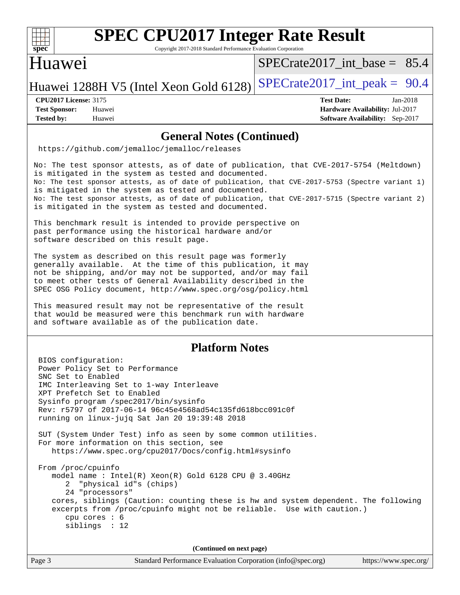

Copyright 2017-2018 Standard Performance Evaluation Corporation

#### Huawei

SPECrate2017 int\_base =  $85.4$ 

Huawei 1288H V5 (Intel Xeon Gold 6128) SPECrate  $2017$ \_int\_peak = 90.4

**[CPU2017 License:](http://www.spec.org/auto/cpu2017/Docs/result-fields.html#CPU2017License)** 3175 **[Test Date:](http://www.spec.org/auto/cpu2017/Docs/result-fields.html#TestDate)** Jan-2018

**[Test Sponsor:](http://www.spec.org/auto/cpu2017/Docs/result-fields.html#TestSponsor)** Huawei **[Hardware Availability:](http://www.spec.org/auto/cpu2017/Docs/result-fields.html#HardwareAvailability)** Jul-2017 **[Tested by:](http://www.spec.org/auto/cpu2017/Docs/result-fields.html#Testedby)** Huawei **[Software Availability:](http://www.spec.org/auto/cpu2017/Docs/result-fields.html#SoftwareAvailability)** Sep-2017

#### **[General Notes \(Continued\)](http://www.spec.org/auto/cpu2017/Docs/result-fields.html#GeneralNotes)**

<https://github.com/jemalloc/jemalloc/releases>

No: The test sponsor attests, as of date of publication, that CVE-2017-5754 (Meltdown) is mitigated in the system as tested and documented. No: The test sponsor attests, as of date of publication, that CVE-2017-5753 (Spectre variant 1) is mitigated in the system as tested and documented. No: The test sponsor attests, as of date of publication, that CVE-2017-5715 (Spectre variant 2) is mitigated in the system as tested and documented.

This benchmark result is intended to provide perspective on past performance using the historical hardware and/or software described on this result page.

The system as described on this result page was formerly generally available. At the time of this publication, it may not be shipping, and/or may not be supported, and/or may fail to meet other tests of General Availability described in the SPEC OSG Policy document, <http://www.spec.org/osg/policy.html>

This measured result may not be representative of the result that would be measured were this benchmark run with hardware and software available as of the publication date.

#### **[Platform Notes](http://www.spec.org/auto/cpu2017/Docs/result-fields.html#PlatformNotes)**

 BIOS configuration: Power Policy Set to Performance SNC Set to Enabled IMC Interleaving Set to 1-way Interleave XPT Prefetch Set to Enabled Sysinfo program /spec2017/bin/sysinfo Rev: r5797 of 2017-06-14 96c45e4568ad54c135fd618bcc091c0f running on linux-jujq Sat Jan 20 19:39:48 2018 SUT (System Under Test) info as seen by some common utilities. For more information on this section, see <https://www.spec.org/cpu2017/Docs/config.html#sysinfo> From /proc/cpuinfo model name : Intel(R) Xeon(R) Gold 6128 CPU @ 3.40GHz 2 "physical id"s (chips) 24 "processors" cores, siblings (Caution: counting these is hw and system dependent. The following excerpts from /proc/cpuinfo might not be reliable. Use with caution.) cpu cores : 6 siblings : 12 **(Continued on next page)**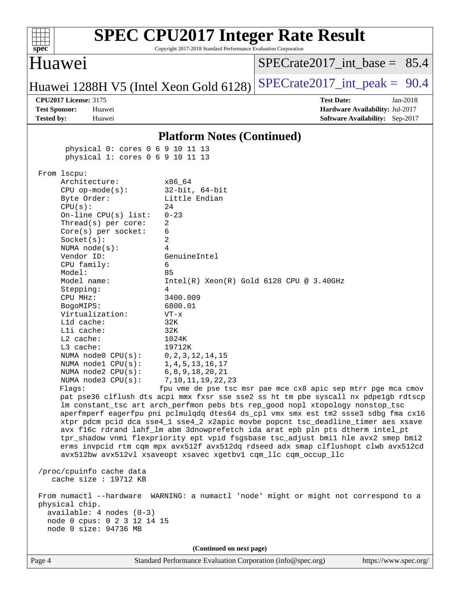| <b>SPEC CPU2017 Integer Rate Result</b><br>Copyright 2017-2018 Standard Performance Evaluation Corporation<br>$spec^*$                                                                                                                                                                                                                                                                                                                                                                                                                                                                                                                                                                                                                                                                                                                                                                                                                                                                                                                                                                                                                                                                                                                                                                                                                                                                                                                                                                                                                                                                                                                                                                                                                    |                                                                                                             |
|-------------------------------------------------------------------------------------------------------------------------------------------------------------------------------------------------------------------------------------------------------------------------------------------------------------------------------------------------------------------------------------------------------------------------------------------------------------------------------------------------------------------------------------------------------------------------------------------------------------------------------------------------------------------------------------------------------------------------------------------------------------------------------------------------------------------------------------------------------------------------------------------------------------------------------------------------------------------------------------------------------------------------------------------------------------------------------------------------------------------------------------------------------------------------------------------------------------------------------------------------------------------------------------------------------------------------------------------------------------------------------------------------------------------------------------------------------------------------------------------------------------------------------------------------------------------------------------------------------------------------------------------------------------------------------------------------------------------------------------------|-------------------------------------------------------------------------------------------------------------|
| Huawei                                                                                                                                                                                                                                                                                                                                                                                                                                                                                                                                                                                                                                                                                                                                                                                                                                                                                                                                                                                                                                                                                                                                                                                                                                                                                                                                                                                                                                                                                                                                                                                                                                                                                                                                    | $SPECTate2017\_int\_base = 85.4$                                                                            |
| Huawei 1288H V5 (Intel Xeon Gold 6128)                                                                                                                                                                                                                                                                                                                                                                                                                                                                                                                                                                                                                                                                                                                                                                                                                                                                                                                                                                                                                                                                                                                                                                                                                                                                                                                                                                                                                                                                                                                                                                                                                                                                                                    | $SPECTate2017\_int\_peak = 90.4$                                                                            |
| <b>CPU2017 License: 3175</b><br><b>Test Sponsor:</b><br>Huawei<br><b>Tested by:</b><br>Huawei                                                                                                                                                                                                                                                                                                                                                                                                                                                                                                                                                                                                                                                                                                                                                                                                                                                                                                                                                                                                                                                                                                                                                                                                                                                                                                                                                                                                                                                                                                                                                                                                                                             | <b>Test Date:</b><br>Jan-2018<br>Hardware Availability: Jul-2017<br>Software Availability: Sep-2017         |
| <b>Platform Notes (Continued)</b>                                                                                                                                                                                                                                                                                                                                                                                                                                                                                                                                                                                                                                                                                                                                                                                                                                                                                                                                                                                                                                                                                                                                                                                                                                                                                                                                                                                                                                                                                                                                                                                                                                                                                                         |                                                                                                             |
| physical 0: cores 0 6 9 10 11 13<br>physical 1: cores 0 6 9 10 11 13                                                                                                                                                                                                                                                                                                                                                                                                                                                                                                                                                                                                                                                                                                                                                                                                                                                                                                                                                                                                                                                                                                                                                                                                                                                                                                                                                                                                                                                                                                                                                                                                                                                                      |                                                                                                             |
| From 1scpu:<br>Architecture:<br>x86_64<br>$32$ -bit, $64$ -bit<br>$CPU$ op-mode( $s$ ):<br>Little Endian<br>Byte Order:<br>24<br>CPU(s):<br>$0 - 23$<br>On-line $CPU(s)$ list:<br>Thread(s) per core:<br>2<br>Core(s) per socket:<br>6<br>2<br>Socket(s):<br>4<br>NUMA $node(s)$ :<br>Vendor ID:<br>GenuineIntel<br>CPU family:<br>6<br>Model:<br>85<br>Model name:<br>4<br>Stepping:<br>3400.009<br>CPU MHz:<br>6800.01<br>BogoMIPS:<br>Virtualization:<br>$VT - x$<br>L1d cache:<br>32K<br>Lli cache:<br>32K<br>L2 cache:<br>1024K<br>L3 cache:<br>19712K<br>NUMA $node0$ $CPU(s)$ :<br>0, 2, 3, 12, 14, 15<br>NUMA nodel CPU(s):<br>1,4,5,13,16,17<br>6, 8, 9, 18, 20, 21<br>NUMA $node2$ $CPU(s)$ :<br>NUMA $node3$ $CPU(s):$<br>7, 10, 11, 19, 22, 23<br>Flags:<br>pat pse36 clflush dts acpi mmx fxsr sse sse2 ss ht tm pbe syscall nx pdpelgb rdtscp<br>lm constant_tsc art arch_perfmon pebs bts rep_good nopl xtopology nonstop_tsc<br>aperfmperf eagerfpu pni pclmulqdq dtes64 ds_cpl vmx smx est tm2 ssse3 sdbg fma cx16<br>xtpr pdcm pcid dca sse4_1 sse4_2 x2apic movbe popcnt tsc_deadline_timer aes xsave<br>avx f16c rdrand lahf_lm abm 3dnowprefetch ida arat epb pln pts dtherm intel_pt<br>tpr_shadow vnmi flexpriority ept vpid fsgsbase tsc_adjust bmil hle avx2 smep bmi2<br>erms invpcid rtm cqm mpx avx512f avx512dq rdseed adx smap clflushopt clwb avx512cd<br>avx512bw avx512vl xsaveopt xsavec xgetbvl cqm_llc cqm_occup_llc<br>/proc/cpuinfo cache data<br>cache size : 19712 KB<br>From numactl --hardware WARNING: a numactl 'node' might or might not correspond to a<br>physical chip.<br>$available: 4 nodes (0-3)$<br>node 0 cpus: 0 2 3 12 14 15<br>node 0 size: 94736 MB<br>(Continued on next page) | $Intel(R) Xeon(R) Gold 6128 CPU @ 3.40GHz$<br>fpu vme de pse tsc msr pae mce cx8 apic sep mtrr pge mca cmov |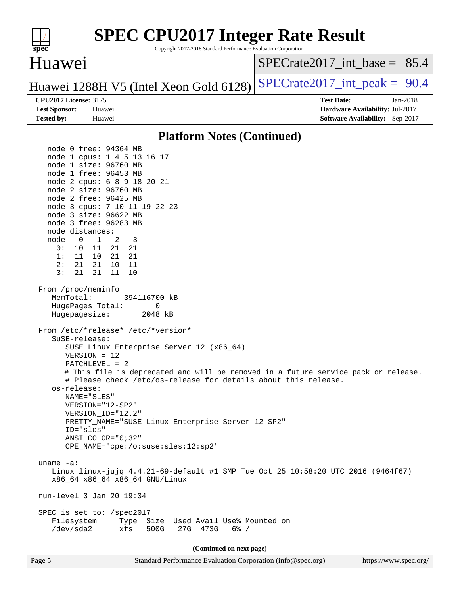| <b>SPEC CPU2017 Integer Rate Result</b><br>Copyright 2017-2018 Standard Performance Evaluation Corporation<br>spec <sup>®</sup>                                                                                                                                                                                                                                                                                                                                                                        |                                                                                                              |
|--------------------------------------------------------------------------------------------------------------------------------------------------------------------------------------------------------------------------------------------------------------------------------------------------------------------------------------------------------------------------------------------------------------------------------------------------------------------------------------------------------|--------------------------------------------------------------------------------------------------------------|
| <b>Huawei</b>                                                                                                                                                                                                                                                                                                                                                                                                                                                                                          | $SPECrate2017\_int\_base = 85.4$                                                                             |
| Huawei 1288H V5 (Intel Xeon Gold 6128)                                                                                                                                                                                                                                                                                                                                                                                                                                                                 | $SPECTate2017\_int\_peak = 90.4$                                                                             |
| <b>CPU2017 License: 3175</b><br><b>Test Sponsor:</b><br>Huawei<br><b>Tested by:</b><br>Huawei                                                                                                                                                                                                                                                                                                                                                                                                          | <b>Test Date:</b><br>$Jan-2018$<br>Hardware Availability: Jul-2017<br><b>Software Availability:</b> Sep-2017 |
| <b>Platform Notes (Continued)</b>                                                                                                                                                                                                                                                                                                                                                                                                                                                                      |                                                                                                              |
| node 0 free: 94364 MB<br>node 1 cpus: 1 4 5 13 16 17<br>node 1 size: 96760 MB<br>node 1 free: 96453 MB<br>node 2 cpus: 6 8 9 18 20 21<br>node 2 size: 96760 MB<br>node 2 free: 96425 MB<br>node 3 cpus: 7 10 11 19 22 23<br>node 3 size: 96622 MB<br>node 3 free: 96283 MB<br>node distances:<br>node<br>0<br>1<br>2<br>3<br>0:<br>11<br>21<br>21<br>10<br>10<br>21<br>21<br>1:<br>11<br>2:<br>21<br>21<br>10<br>11<br>21<br>3:<br>21<br>11<br>10<br>From /proc/meminfo                                |                                                                                                              |
| MemTotal:<br>394116700 kB<br>HugePages_Total:<br>0<br>Hugepagesize:<br>2048 kB                                                                                                                                                                                                                                                                                                                                                                                                                         |                                                                                                              |
| From /etc/*release* /etc/*version*<br>SuSE-release:<br>SUSE Linux Enterprise Server 12 (x86_64)<br>$VERSION = 12$<br>PATCHLEVEL = 2<br># This file is deprecated and will be removed in a future service pack or release.<br># Please check /etc/os-release for details about this release.<br>os-release:<br>NAME="SLES"<br>VERSION="12-SP2"<br>VERSION_ID="12.2"<br>PRETTY_NAME="SUSE Linux Enterprise Server 12 SP2"<br>ID="sles"<br>$ANSI$ _COLOR=" $0:32$ "<br>CPE_NAME="cpe:/o:suse:sles:12:sp2" |                                                                                                              |
| uname $-a$ :<br>Linux linux-jujq 4.4.21-69-default #1 SMP Tue Oct 25 10:58:20 UTC 2016 (9464f67)<br>x86_64 x86_64 x86_64 GNU/Linux<br>run-level 3 Jan 20 19:34<br>SPEC is set to: /spec2017<br>Type Size Used Avail Use% Mounted on                                                                                                                                                                                                                                                                    |                                                                                                              |
| Filesystem<br>/dev/sda2<br>xfs<br>500G<br>27G 473G<br>$6\%$ /                                                                                                                                                                                                                                                                                                                                                                                                                                          |                                                                                                              |
| (Continued on next page)                                                                                                                                                                                                                                                                                                                                                                                                                                                                               |                                                                                                              |
| Page 5<br>Standard Performance Evaluation Corporation (info@spec.org)                                                                                                                                                                                                                                                                                                                                                                                                                                  | https://www.spec.org/                                                                                        |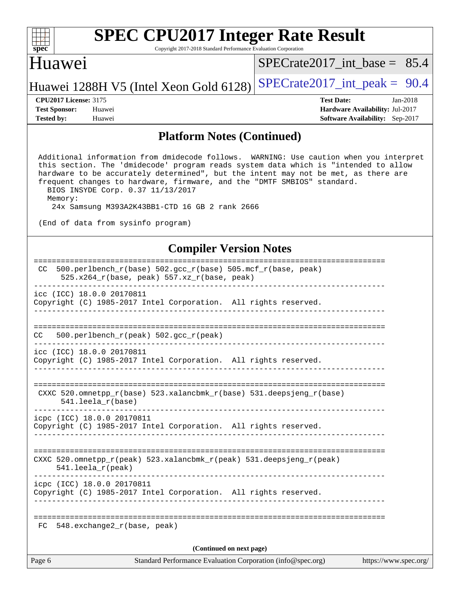| s<br>E<br>U<br>c |  |  |  |  |  |  |
|------------------|--|--|--|--|--|--|

Copyright 2017-2018 Standard Performance Evaluation Corporation

#### Huawei

SPECrate2017 int\_base =  $85.4$ 

#### Huawei 1288H V5 (Intel Xeon Gold 6128) SPECrate  $2017$ \_int\_peak = 90.4

**[Tested by:](http://www.spec.org/auto/cpu2017/Docs/result-fields.html#Testedby)** Huawei **[Software Availability:](http://www.spec.org/auto/cpu2017/Docs/result-fields.html#SoftwareAvailability)** Sep-2017

**[CPU2017 License:](http://www.spec.org/auto/cpu2017/Docs/result-fields.html#CPU2017License)** 3175 **[Test Date:](http://www.spec.org/auto/cpu2017/Docs/result-fields.html#TestDate)** Jan-2018 **[Test Sponsor:](http://www.spec.org/auto/cpu2017/Docs/result-fields.html#TestSponsor)** Huawei **[Hardware Availability:](http://www.spec.org/auto/cpu2017/Docs/result-fields.html#HardwareAvailability)** Jul-2017

#### **[Platform Notes \(Continued\)](http://www.spec.org/auto/cpu2017/Docs/result-fields.html#PlatformNotes)**

 Additional information from dmidecode follows. WARNING: Use caution when you interpret this section. The 'dmidecode' program reads system data which is "intended to allow hardware to be accurately determined", but the intent may not be met, as there are frequent changes to hardware, firmware, and the "DMTF SMBIOS" standard. BIOS INSYDE Corp. 0.37 11/13/2017

Memory:

24x Samsung M393A2K43BB1-CTD 16 GB 2 rank 2666

(End of data from sysinfo program)

#### **[Compiler Version Notes](http://www.spec.org/auto/cpu2017/Docs/result-fields.html#CompilerVersionNotes)**

| Page 6 | Standard Performance Evaluation Corporation (info@spec.org)<br>https://www.spec.org/           |
|--------|------------------------------------------------------------------------------------------------|
|        | (Continued on next page)                                                                       |
| FC     | 548.exchange2_r(base, peak)                                                                    |
|        | Copyright (C) 1985-2017 Intel Corporation. All rights reserved.                                |
|        | icpc (ICC) 18.0.0 20170811                                                                     |
|        | CXXC 520.omnetpp_r(peak) 523.xalancbmk_r(peak) 531.deepsjeng_r(peak)<br>$541.$ leela_r(peak)   |
|        | icpc (ICC) 18.0.0 20170811<br>Copyright (C) 1985-2017 Intel Corporation. All rights reserved.  |
|        | CXXC 520.omnetpp_r(base) 523.xalancbmk_r(base) 531.deepsjeng_r(base)<br>$541.$ leela $r(base)$ |
|        |                                                                                                |
|        | icc (ICC) 18.0.0 20170811<br>Copyright (C) 1985-2017 Intel Corporation. All rights reserved.   |
| CC.    | $500. perlbench_r (peak) 502. gcc_r (peak)$                                                    |
|        | icc (ICC) 18.0.0 20170811<br>Copyright (C) 1985-2017 Intel Corporation. All rights reserved.   |
|        | 525.x264_r(base, peak) 557.xz_r(base, peak)                                                    |
| CC.    | =========================<br>500.perlbench_r(base) 502.gcc_r(base) 505.mcf_r(base, peak)       |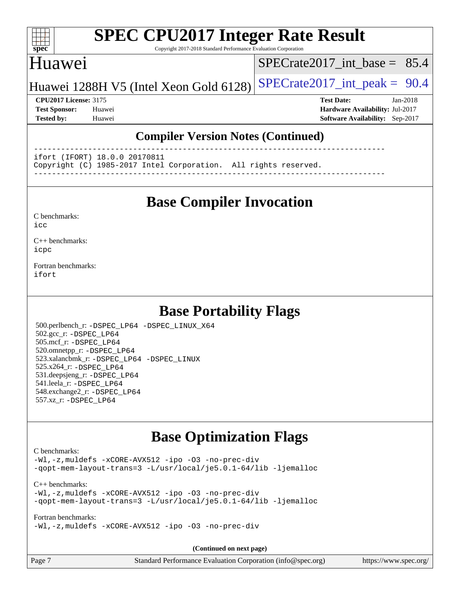#### $+\ +$ **[spec](http://www.spec.org/)**

# **[SPEC CPU2017 Integer Rate Result](http://www.spec.org/auto/cpu2017/Docs/result-fields.html#SPECCPU2017IntegerRateResult)**

Copyright 2017-2018 Standard Performance Evaluation Corporation

#### Huawei

SPECrate2017 int\_base =  $85.4$ 

#### Huawei 1288H V5 (Intel Xeon Gold 6128) SPECrate  $2017$ \_int\_peak = 90.4

**[Test Sponsor:](http://www.spec.org/auto/cpu2017/Docs/result-fields.html#TestSponsor)** Huawei **[Hardware Availability:](http://www.spec.org/auto/cpu2017/Docs/result-fields.html#HardwareAvailability)** Jul-2017

**[CPU2017 License:](http://www.spec.org/auto/cpu2017/Docs/result-fields.html#CPU2017License)** 3175 **[Test Date:](http://www.spec.org/auto/cpu2017/Docs/result-fields.html#TestDate)** Jan-2018

**[Tested by:](http://www.spec.org/auto/cpu2017/Docs/result-fields.html#Testedby)** Huawei **[Software Availability:](http://www.spec.org/auto/cpu2017/Docs/result-fields.html#SoftwareAvailability)** Sep-2017

#### **[Compiler Version Notes \(Continued\)](http://www.spec.org/auto/cpu2017/Docs/result-fields.html#CompilerVersionNotes)**

------------------------------------------------------------------------------

ifort (IFORT) 18.0.0 20170811

Copyright (C) 1985-2017 Intel Corporation. All rights reserved.

------------------------------------------------------------------------------

#### **[Base Compiler Invocation](http://www.spec.org/auto/cpu2017/Docs/result-fields.html#BaseCompilerInvocation)**

| C benchmarks: |  |
|---------------|--|
|---------------|--|

[icc](http://www.spec.org/cpu2017/results/res2018q1/cpu2017-20180127-03120.flags.html#user_CCbase_intel_icc_18.0_66fc1ee009f7361af1fbd72ca7dcefbb700085f36577c54f309893dd4ec40d12360134090235512931783d35fd58c0460139e722d5067c5574d8eaf2b3e37e92)

[C++ benchmarks:](http://www.spec.org/auto/cpu2017/Docs/result-fields.html#CXXbenchmarks) [icpc](http://www.spec.org/cpu2017/results/res2018q1/cpu2017-20180127-03120.flags.html#user_CXXbase_intel_icpc_18.0_c510b6838c7f56d33e37e94d029a35b4a7bccf4766a728ee175e80a419847e808290a9b78be685c44ab727ea267ec2f070ec5dc83b407c0218cded6866a35d07)

[Fortran benchmarks](http://www.spec.org/auto/cpu2017/Docs/result-fields.html#Fortranbenchmarks): [ifort](http://www.spec.org/cpu2017/results/res2018q1/cpu2017-20180127-03120.flags.html#user_FCbase_intel_ifort_18.0_8111460550e3ca792625aed983ce982f94888b8b503583aa7ba2b8303487b4d8a21a13e7191a45c5fd58ff318f48f9492884d4413fa793fd88dd292cad7027ca)

#### **[Base Portability Flags](http://www.spec.org/auto/cpu2017/Docs/result-fields.html#BasePortabilityFlags)**

 500.perlbench\_r: [-DSPEC\\_LP64](http://www.spec.org/cpu2017/results/res2018q1/cpu2017-20180127-03120.flags.html#b500.perlbench_r_basePORTABILITY_DSPEC_LP64) [-DSPEC\\_LINUX\\_X64](http://www.spec.org/cpu2017/results/res2018q1/cpu2017-20180127-03120.flags.html#b500.perlbench_r_baseCPORTABILITY_DSPEC_LINUX_X64) 502.gcc\_r: [-DSPEC\\_LP64](http://www.spec.org/cpu2017/results/res2018q1/cpu2017-20180127-03120.flags.html#suite_basePORTABILITY502_gcc_r_DSPEC_LP64) 505.mcf\_r: [-DSPEC\\_LP64](http://www.spec.org/cpu2017/results/res2018q1/cpu2017-20180127-03120.flags.html#suite_basePORTABILITY505_mcf_r_DSPEC_LP64) 520.omnetpp\_r: [-DSPEC\\_LP64](http://www.spec.org/cpu2017/results/res2018q1/cpu2017-20180127-03120.flags.html#suite_basePORTABILITY520_omnetpp_r_DSPEC_LP64) 523.xalancbmk\_r: [-DSPEC\\_LP64](http://www.spec.org/cpu2017/results/res2018q1/cpu2017-20180127-03120.flags.html#suite_basePORTABILITY523_xalancbmk_r_DSPEC_LP64) [-DSPEC\\_LINUX](http://www.spec.org/cpu2017/results/res2018q1/cpu2017-20180127-03120.flags.html#b523.xalancbmk_r_baseCXXPORTABILITY_DSPEC_LINUX) 525.x264\_r: [-DSPEC\\_LP64](http://www.spec.org/cpu2017/results/res2018q1/cpu2017-20180127-03120.flags.html#suite_basePORTABILITY525_x264_r_DSPEC_LP64) 531.deepsjeng\_r: [-DSPEC\\_LP64](http://www.spec.org/cpu2017/results/res2018q1/cpu2017-20180127-03120.flags.html#suite_basePORTABILITY531_deepsjeng_r_DSPEC_LP64) 541.leela\_r: [-DSPEC\\_LP64](http://www.spec.org/cpu2017/results/res2018q1/cpu2017-20180127-03120.flags.html#suite_basePORTABILITY541_leela_r_DSPEC_LP64) 548.exchange2\_r: [-DSPEC\\_LP64](http://www.spec.org/cpu2017/results/res2018q1/cpu2017-20180127-03120.flags.html#suite_basePORTABILITY548_exchange2_r_DSPEC_LP64) 557.xz\_r: [-DSPEC\\_LP64](http://www.spec.org/cpu2017/results/res2018q1/cpu2017-20180127-03120.flags.html#suite_basePORTABILITY557_xz_r_DSPEC_LP64)

#### **[Base Optimization Flags](http://www.spec.org/auto/cpu2017/Docs/result-fields.html#BaseOptimizationFlags)**

#### [C benchmarks](http://www.spec.org/auto/cpu2017/Docs/result-fields.html#Cbenchmarks):

[-Wl,-z,muldefs](http://www.spec.org/cpu2017/results/res2018q1/cpu2017-20180127-03120.flags.html#user_CCbase_link_force_multiple1_b4cbdb97b34bdee9ceefcfe54f4c8ea74255f0b02a4b23e853cdb0e18eb4525ac79b5a88067c842dd0ee6996c24547a27a4b99331201badda8798ef8a743f577) [-xCORE-AVX512](http://www.spec.org/cpu2017/results/res2018q1/cpu2017-20180127-03120.flags.html#user_CCbase_f-xCORE-AVX512) [-ipo](http://www.spec.org/cpu2017/results/res2018q1/cpu2017-20180127-03120.flags.html#user_CCbase_f-ipo) [-O3](http://www.spec.org/cpu2017/results/res2018q1/cpu2017-20180127-03120.flags.html#user_CCbase_f-O3) [-no-prec-div](http://www.spec.org/cpu2017/results/res2018q1/cpu2017-20180127-03120.flags.html#user_CCbase_f-no-prec-div) [-qopt-mem-layout-trans=3](http://www.spec.org/cpu2017/results/res2018q1/cpu2017-20180127-03120.flags.html#user_CCbase_f-qopt-mem-layout-trans_de80db37974c74b1f0e20d883f0b675c88c3b01e9d123adea9b28688d64333345fb62bc4a798493513fdb68f60282f9a726aa07f478b2f7113531aecce732043) [-L/usr/local/je5.0.1-64/lib](http://www.spec.org/cpu2017/results/res2018q1/cpu2017-20180127-03120.flags.html#user_CCbase_jemalloc_link_path64_4b10a636b7bce113509b17f3bd0d6226c5fb2346b9178c2d0232c14f04ab830f976640479e5c33dc2bcbbdad86ecfb6634cbbd4418746f06f368b512fced5394) [-ljemalloc](http://www.spec.org/cpu2017/results/res2018q1/cpu2017-20180127-03120.flags.html#user_CCbase_jemalloc_link_lib_d1249b907c500fa1c0672f44f562e3d0f79738ae9e3c4a9c376d49f265a04b9c99b167ecedbf6711b3085be911c67ff61f150a17b3472be731631ba4d0471706)

[C++ benchmarks:](http://www.spec.org/auto/cpu2017/Docs/result-fields.html#CXXbenchmarks) [-Wl,-z,muldefs](http://www.spec.org/cpu2017/results/res2018q1/cpu2017-20180127-03120.flags.html#user_CXXbase_link_force_multiple1_b4cbdb97b34bdee9ceefcfe54f4c8ea74255f0b02a4b23e853cdb0e18eb4525ac79b5a88067c842dd0ee6996c24547a27a4b99331201badda8798ef8a743f577) [-xCORE-AVX512](http://www.spec.org/cpu2017/results/res2018q1/cpu2017-20180127-03120.flags.html#user_CXXbase_f-xCORE-AVX512) [-ipo](http://www.spec.org/cpu2017/results/res2018q1/cpu2017-20180127-03120.flags.html#user_CXXbase_f-ipo) [-O3](http://www.spec.org/cpu2017/results/res2018q1/cpu2017-20180127-03120.flags.html#user_CXXbase_f-O3) [-no-prec-div](http://www.spec.org/cpu2017/results/res2018q1/cpu2017-20180127-03120.flags.html#user_CXXbase_f-no-prec-div) [-qopt-mem-layout-trans=3](http://www.spec.org/cpu2017/results/res2018q1/cpu2017-20180127-03120.flags.html#user_CXXbase_f-qopt-mem-layout-trans_de80db37974c74b1f0e20d883f0b675c88c3b01e9d123adea9b28688d64333345fb62bc4a798493513fdb68f60282f9a726aa07f478b2f7113531aecce732043) [-L/usr/local/je5.0.1-64/lib](http://www.spec.org/cpu2017/results/res2018q1/cpu2017-20180127-03120.flags.html#user_CXXbase_jemalloc_link_path64_4b10a636b7bce113509b17f3bd0d6226c5fb2346b9178c2d0232c14f04ab830f976640479e5c33dc2bcbbdad86ecfb6634cbbd4418746f06f368b512fced5394) [-ljemalloc](http://www.spec.org/cpu2017/results/res2018q1/cpu2017-20180127-03120.flags.html#user_CXXbase_jemalloc_link_lib_d1249b907c500fa1c0672f44f562e3d0f79738ae9e3c4a9c376d49f265a04b9c99b167ecedbf6711b3085be911c67ff61f150a17b3472be731631ba4d0471706)

[Fortran benchmarks](http://www.spec.org/auto/cpu2017/Docs/result-fields.html#Fortranbenchmarks):

[-Wl,-z,muldefs](http://www.spec.org/cpu2017/results/res2018q1/cpu2017-20180127-03120.flags.html#user_FCbase_link_force_multiple1_b4cbdb97b34bdee9ceefcfe54f4c8ea74255f0b02a4b23e853cdb0e18eb4525ac79b5a88067c842dd0ee6996c24547a27a4b99331201badda8798ef8a743f577) [-xCORE-AVX512](http://www.spec.org/cpu2017/results/res2018q1/cpu2017-20180127-03120.flags.html#user_FCbase_f-xCORE-AVX512) [-ipo](http://www.spec.org/cpu2017/results/res2018q1/cpu2017-20180127-03120.flags.html#user_FCbase_f-ipo) [-O3](http://www.spec.org/cpu2017/results/res2018q1/cpu2017-20180127-03120.flags.html#user_FCbase_f-O3) [-no-prec-div](http://www.spec.org/cpu2017/results/res2018q1/cpu2017-20180127-03120.flags.html#user_FCbase_f-no-prec-div)

**(Continued on next page)**

| Page 7 | Standard Performance Evaluation Corporation (info@spec.org) | https://www.spec.org/ |
|--------|-------------------------------------------------------------|-----------------------|
|--------|-------------------------------------------------------------|-----------------------|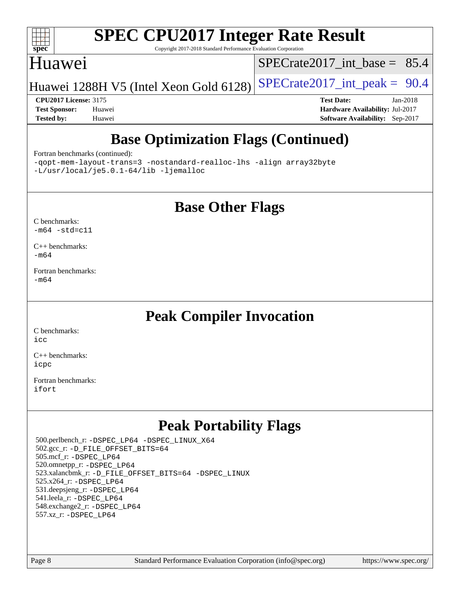

Copyright 2017-2018 Standard Performance Evaluation Corporation

#### Huawei

SPECrate2017 int\_base =  $85.4$ 

Huawei 1288H V5 (Intel Xeon Gold 6128) SPECrate  $2017$ \_int\_peak = 90.4

**[CPU2017 License:](http://www.spec.org/auto/cpu2017/Docs/result-fields.html#CPU2017License)** 3175 **[Test Date:](http://www.spec.org/auto/cpu2017/Docs/result-fields.html#TestDate)** Jan-2018 **[Test Sponsor:](http://www.spec.org/auto/cpu2017/Docs/result-fields.html#TestSponsor)** Huawei **[Hardware Availability:](http://www.spec.org/auto/cpu2017/Docs/result-fields.html#HardwareAvailability)** Jul-2017 **[Tested by:](http://www.spec.org/auto/cpu2017/Docs/result-fields.html#Testedby)** Huawei **[Software Availability:](http://www.spec.org/auto/cpu2017/Docs/result-fields.html#SoftwareAvailability)** Sep-2017

## **[Base Optimization Flags \(Continued\)](http://www.spec.org/auto/cpu2017/Docs/result-fields.html#BaseOptimizationFlags)**

#### [Fortran benchmarks](http://www.spec.org/auto/cpu2017/Docs/result-fields.html#Fortranbenchmarks) (continued):

[-qopt-mem-layout-trans=3](http://www.spec.org/cpu2017/results/res2018q1/cpu2017-20180127-03120.flags.html#user_FCbase_f-qopt-mem-layout-trans_de80db37974c74b1f0e20d883f0b675c88c3b01e9d123adea9b28688d64333345fb62bc4a798493513fdb68f60282f9a726aa07f478b2f7113531aecce732043) [-nostandard-realloc-lhs](http://www.spec.org/cpu2017/results/res2018q1/cpu2017-20180127-03120.flags.html#user_FCbase_f_2003_std_realloc_82b4557e90729c0f113870c07e44d33d6f5a304b4f63d4c15d2d0f1fab99f5daaed73bdb9275d9ae411527f28b936061aa8b9c8f2d63842963b95c9dd6426b8a) [-align array32byte](http://www.spec.org/cpu2017/results/res2018q1/cpu2017-20180127-03120.flags.html#user_FCbase_align_array32byte_b982fe038af199962ba9a80c053b8342c548c85b40b8e86eb3cc33dee0d7986a4af373ac2d51c3f7cf710a18d62fdce2948f201cd044323541f22fc0fffc51b6) [-L/usr/local/je5.0.1-64/lib](http://www.spec.org/cpu2017/results/res2018q1/cpu2017-20180127-03120.flags.html#user_FCbase_jemalloc_link_path64_4b10a636b7bce113509b17f3bd0d6226c5fb2346b9178c2d0232c14f04ab830f976640479e5c33dc2bcbbdad86ecfb6634cbbd4418746f06f368b512fced5394) [-ljemalloc](http://www.spec.org/cpu2017/results/res2018q1/cpu2017-20180127-03120.flags.html#user_FCbase_jemalloc_link_lib_d1249b907c500fa1c0672f44f562e3d0f79738ae9e3c4a9c376d49f265a04b9c99b167ecedbf6711b3085be911c67ff61f150a17b3472be731631ba4d0471706)

#### **[Base Other Flags](http://www.spec.org/auto/cpu2017/Docs/result-fields.html#BaseOtherFlags)**

#### [C benchmarks](http://www.spec.org/auto/cpu2017/Docs/result-fields.html#Cbenchmarks):  $-m64 - std= c11$  $-m64 - std= c11$

[C++ benchmarks:](http://www.spec.org/auto/cpu2017/Docs/result-fields.html#CXXbenchmarks) [-m64](http://www.spec.org/cpu2017/results/res2018q1/cpu2017-20180127-03120.flags.html#user_CXXbase_intel_intel64_18.0_af43caccfc8ded86e7699f2159af6efc7655f51387b94da716254467f3c01020a5059329e2569e4053f409e7c9202a7efc638f7a6d1ffb3f52dea4a3e31d82ab)

[Fortran benchmarks](http://www.spec.org/auto/cpu2017/Docs/result-fields.html#Fortranbenchmarks): [-m64](http://www.spec.org/cpu2017/results/res2018q1/cpu2017-20180127-03120.flags.html#user_FCbase_intel_intel64_18.0_af43caccfc8ded86e7699f2159af6efc7655f51387b94da716254467f3c01020a5059329e2569e4053f409e7c9202a7efc638f7a6d1ffb3f52dea4a3e31d82ab)

## **[Peak Compiler Invocation](http://www.spec.org/auto/cpu2017/Docs/result-fields.html#PeakCompilerInvocation)**

[C benchmarks](http://www.spec.org/auto/cpu2017/Docs/result-fields.html#Cbenchmarks): [icc](http://www.spec.org/cpu2017/results/res2018q1/cpu2017-20180127-03120.flags.html#user_CCpeak_intel_icc_18.0_66fc1ee009f7361af1fbd72ca7dcefbb700085f36577c54f309893dd4ec40d12360134090235512931783d35fd58c0460139e722d5067c5574d8eaf2b3e37e92)

[C++ benchmarks:](http://www.spec.org/auto/cpu2017/Docs/result-fields.html#CXXbenchmarks) [icpc](http://www.spec.org/cpu2017/results/res2018q1/cpu2017-20180127-03120.flags.html#user_CXXpeak_intel_icpc_18.0_c510b6838c7f56d33e37e94d029a35b4a7bccf4766a728ee175e80a419847e808290a9b78be685c44ab727ea267ec2f070ec5dc83b407c0218cded6866a35d07)

[Fortran benchmarks](http://www.spec.org/auto/cpu2017/Docs/result-fields.html#Fortranbenchmarks): [ifort](http://www.spec.org/cpu2017/results/res2018q1/cpu2017-20180127-03120.flags.html#user_FCpeak_intel_ifort_18.0_8111460550e3ca792625aed983ce982f94888b8b503583aa7ba2b8303487b4d8a21a13e7191a45c5fd58ff318f48f9492884d4413fa793fd88dd292cad7027ca)

## **[Peak Portability Flags](http://www.spec.org/auto/cpu2017/Docs/result-fields.html#PeakPortabilityFlags)**

 500.perlbench\_r: [-DSPEC\\_LP64](http://www.spec.org/cpu2017/results/res2018q1/cpu2017-20180127-03120.flags.html#b500.perlbench_r_peakPORTABILITY_DSPEC_LP64) [-DSPEC\\_LINUX\\_X64](http://www.spec.org/cpu2017/results/res2018q1/cpu2017-20180127-03120.flags.html#b500.perlbench_r_peakCPORTABILITY_DSPEC_LINUX_X64) 502.gcc\_r: [-D\\_FILE\\_OFFSET\\_BITS=64](http://www.spec.org/cpu2017/results/res2018q1/cpu2017-20180127-03120.flags.html#user_peakPORTABILITY502_gcc_r_file_offset_bits_64_5ae949a99b284ddf4e95728d47cb0843d81b2eb0e18bdfe74bbf0f61d0b064f4bda2f10ea5eb90e1dcab0e84dbc592acfc5018bc955c18609f94ddb8d550002c) 505.mcf\_r: [-DSPEC\\_LP64](http://www.spec.org/cpu2017/results/res2018q1/cpu2017-20180127-03120.flags.html#suite_peakPORTABILITY505_mcf_r_DSPEC_LP64) 520.omnetpp\_r: [-DSPEC\\_LP64](http://www.spec.org/cpu2017/results/res2018q1/cpu2017-20180127-03120.flags.html#suite_peakPORTABILITY520_omnetpp_r_DSPEC_LP64) 523.xalancbmk\_r: [-D\\_FILE\\_OFFSET\\_BITS=64](http://www.spec.org/cpu2017/results/res2018q1/cpu2017-20180127-03120.flags.html#user_peakPORTABILITY523_xalancbmk_r_file_offset_bits_64_5ae949a99b284ddf4e95728d47cb0843d81b2eb0e18bdfe74bbf0f61d0b064f4bda2f10ea5eb90e1dcab0e84dbc592acfc5018bc955c18609f94ddb8d550002c) [-DSPEC\\_LINUX](http://www.spec.org/cpu2017/results/res2018q1/cpu2017-20180127-03120.flags.html#b523.xalancbmk_r_peakCXXPORTABILITY_DSPEC_LINUX) 525.x264\_r: [-DSPEC\\_LP64](http://www.spec.org/cpu2017/results/res2018q1/cpu2017-20180127-03120.flags.html#suite_peakPORTABILITY525_x264_r_DSPEC_LP64) 531.deepsjeng\_r: [-DSPEC\\_LP64](http://www.spec.org/cpu2017/results/res2018q1/cpu2017-20180127-03120.flags.html#suite_peakPORTABILITY531_deepsjeng_r_DSPEC_LP64) 541.leela\_r: [-DSPEC\\_LP64](http://www.spec.org/cpu2017/results/res2018q1/cpu2017-20180127-03120.flags.html#suite_peakPORTABILITY541_leela_r_DSPEC_LP64) 548.exchange2\_r: [-DSPEC\\_LP64](http://www.spec.org/cpu2017/results/res2018q1/cpu2017-20180127-03120.flags.html#suite_peakPORTABILITY548_exchange2_r_DSPEC_LP64) 557.xz\_r: [-DSPEC\\_LP64](http://www.spec.org/cpu2017/results/res2018q1/cpu2017-20180127-03120.flags.html#suite_peakPORTABILITY557_xz_r_DSPEC_LP64)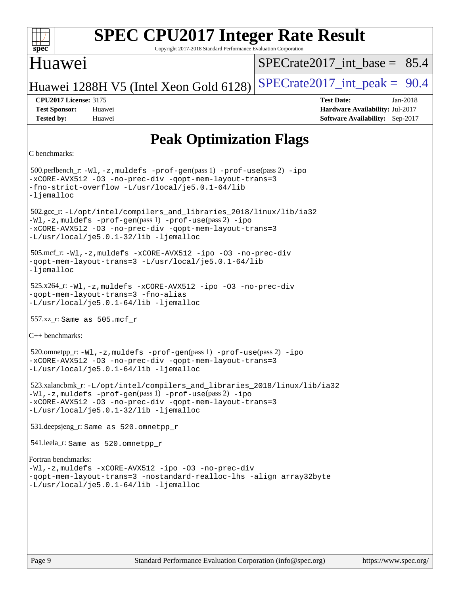| s<br>æ<br>U |  |  |  |  |  |  |
|-------------|--|--|--|--|--|--|

Copyright 2017-2018 Standard Performance Evaluation Corporation

### Huawei

[SPECrate2017\\_int\\_base =](http://www.spec.org/auto/cpu2017/Docs/result-fields.html#SPECrate2017intbase) 85.4

Huawei 1288H V5 (Intel Xeon Gold 6128) SPECrate  $2017$ \_int\_peak = 90.4

**[Tested by:](http://www.spec.org/auto/cpu2017/Docs/result-fields.html#Testedby)** Huawei **[Software Availability:](http://www.spec.org/auto/cpu2017/Docs/result-fields.html#SoftwareAvailability)** Sep-2017

**[CPU2017 License:](http://www.spec.org/auto/cpu2017/Docs/result-fields.html#CPU2017License)** 3175 **[Test Date:](http://www.spec.org/auto/cpu2017/Docs/result-fields.html#TestDate)** Jan-2018 **[Test Sponsor:](http://www.spec.org/auto/cpu2017/Docs/result-fields.html#TestSponsor)** Huawei **[Hardware Availability:](http://www.spec.org/auto/cpu2017/Docs/result-fields.html#HardwareAvailability)** Jul-2017

## **[Peak Optimization Flags](http://www.spec.org/auto/cpu2017/Docs/result-fields.html#PeakOptimizationFlags)**

```
C benchmarks:
```
 500.perlbench\_r: [-Wl,-z,muldefs](http://www.spec.org/cpu2017/results/res2018q1/cpu2017-20180127-03120.flags.html#user_peakEXTRA_LDFLAGS500_perlbench_r_link_force_multiple1_b4cbdb97b34bdee9ceefcfe54f4c8ea74255f0b02a4b23e853cdb0e18eb4525ac79b5a88067c842dd0ee6996c24547a27a4b99331201badda8798ef8a743f577) [-prof-gen](http://www.spec.org/cpu2017/results/res2018q1/cpu2017-20180127-03120.flags.html#user_peakPASS1_CFLAGSPASS1_LDFLAGS500_perlbench_r_prof_gen_5aa4926d6013ddb2a31985c654b3eb18169fc0c6952a63635c234f711e6e63dd76e94ad52365559451ec499a2cdb89e4dc58ba4c67ef54ca681ffbe1461d6b36)(pass 1) [-prof-use](http://www.spec.org/cpu2017/results/res2018q1/cpu2017-20180127-03120.flags.html#user_peakPASS2_CFLAGSPASS2_LDFLAGS500_perlbench_r_prof_use_1a21ceae95f36a2b53c25747139a6c16ca95bd9def2a207b4f0849963b97e94f5260e30a0c64f4bb623698870e679ca08317ef8150905d41bd88c6f78df73f19)(pass 2) [-ipo](http://www.spec.org/cpu2017/results/res2018q1/cpu2017-20180127-03120.flags.html#user_peakPASS1_COPTIMIZEPASS2_COPTIMIZE500_perlbench_r_f-ipo) [-xCORE-AVX512](http://www.spec.org/cpu2017/results/res2018q1/cpu2017-20180127-03120.flags.html#user_peakPASS2_COPTIMIZE500_perlbench_r_f-xCORE-AVX512) [-O3](http://www.spec.org/cpu2017/results/res2018q1/cpu2017-20180127-03120.flags.html#user_peakPASS1_COPTIMIZEPASS2_COPTIMIZE500_perlbench_r_f-O3) [-no-prec-div](http://www.spec.org/cpu2017/results/res2018q1/cpu2017-20180127-03120.flags.html#user_peakPASS1_COPTIMIZEPASS2_COPTIMIZE500_perlbench_r_f-no-prec-div) [-qopt-mem-layout-trans=3](http://www.spec.org/cpu2017/results/res2018q1/cpu2017-20180127-03120.flags.html#user_peakPASS1_COPTIMIZEPASS2_COPTIMIZE500_perlbench_r_f-qopt-mem-layout-trans_de80db37974c74b1f0e20d883f0b675c88c3b01e9d123adea9b28688d64333345fb62bc4a798493513fdb68f60282f9a726aa07f478b2f7113531aecce732043) [-fno-strict-overflow](http://www.spec.org/cpu2017/results/res2018q1/cpu2017-20180127-03120.flags.html#user_peakEXTRA_OPTIMIZE500_perlbench_r_f-fno-strict-overflow) [-L/usr/local/je5.0.1-64/lib](http://www.spec.org/cpu2017/results/res2018q1/cpu2017-20180127-03120.flags.html#user_peakEXTRA_LIBS500_perlbench_r_jemalloc_link_path64_4b10a636b7bce113509b17f3bd0d6226c5fb2346b9178c2d0232c14f04ab830f976640479e5c33dc2bcbbdad86ecfb6634cbbd4418746f06f368b512fced5394) [-ljemalloc](http://www.spec.org/cpu2017/results/res2018q1/cpu2017-20180127-03120.flags.html#user_peakEXTRA_LIBS500_perlbench_r_jemalloc_link_lib_d1249b907c500fa1c0672f44f562e3d0f79738ae9e3c4a9c376d49f265a04b9c99b167ecedbf6711b3085be911c67ff61f150a17b3472be731631ba4d0471706) 502.gcc\_r: [-L/opt/intel/compilers\\_and\\_libraries\\_2018/linux/lib/ia32](http://www.spec.org/cpu2017/results/res2018q1/cpu2017-20180127-03120.flags.html#user_peakCCLD502_gcc_r_Enable-32bit-runtime_af243bdb1d79e4c7a4f720bf8275e627de2ecd461de63307bc14cef0633fde3cd7bb2facb32dcc8be9566045fb55d40ce2b72b725f73827aa7833441b71b9343) [-Wl,-z,muldefs](http://www.spec.org/cpu2017/results/res2018q1/cpu2017-20180127-03120.flags.html#user_peakEXTRA_LDFLAGS502_gcc_r_link_force_multiple1_b4cbdb97b34bdee9ceefcfe54f4c8ea74255f0b02a4b23e853cdb0e18eb4525ac79b5a88067c842dd0ee6996c24547a27a4b99331201badda8798ef8a743f577) [-prof-gen](http://www.spec.org/cpu2017/results/res2018q1/cpu2017-20180127-03120.flags.html#user_peakPASS1_CFLAGSPASS1_LDFLAGS502_gcc_r_prof_gen_5aa4926d6013ddb2a31985c654b3eb18169fc0c6952a63635c234f711e6e63dd76e94ad52365559451ec499a2cdb89e4dc58ba4c67ef54ca681ffbe1461d6b36)(pass 1) [-prof-use](http://www.spec.org/cpu2017/results/res2018q1/cpu2017-20180127-03120.flags.html#user_peakPASS2_CFLAGSPASS2_LDFLAGS502_gcc_r_prof_use_1a21ceae95f36a2b53c25747139a6c16ca95bd9def2a207b4f0849963b97e94f5260e30a0c64f4bb623698870e679ca08317ef8150905d41bd88c6f78df73f19)(pass 2) [-ipo](http://www.spec.org/cpu2017/results/res2018q1/cpu2017-20180127-03120.flags.html#user_peakPASS1_COPTIMIZEPASS2_COPTIMIZE502_gcc_r_f-ipo) [-xCORE-AVX512](http://www.spec.org/cpu2017/results/res2018q1/cpu2017-20180127-03120.flags.html#user_peakPASS2_COPTIMIZE502_gcc_r_f-xCORE-AVX512) [-O3](http://www.spec.org/cpu2017/results/res2018q1/cpu2017-20180127-03120.flags.html#user_peakPASS1_COPTIMIZEPASS2_COPTIMIZE502_gcc_r_f-O3) [-no-prec-div](http://www.spec.org/cpu2017/results/res2018q1/cpu2017-20180127-03120.flags.html#user_peakPASS1_COPTIMIZEPASS2_COPTIMIZE502_gcc_r_f-no-prec-div) [-qopt-mem-layout-trans=3](http://www.spec.org/cpu2017/results/res2018q1/cpu2017-20180127-03120.flags.html#user_peakPASS1_COPTIMIZEPASS2_COPTIMIZE502_gcc_r_f-qopt-mem-layout-trans_de80db37974c74b1f0e20d883f0b675c88c3b01e9d123adea9b28688d64333345fb62bc4a798493513fdb68f60282f9a726aa07f478b2f7113531aecce732043) [-L/usr/local/je5.0.1-32/lib](http://www.spec.org/cpu2017/results/res2018q1/cpu2017-20180127-03120.flags.html#user_peakEXTRA_LIBS502_gcc_r_jemalloc_link_path32_e29f22e8e6c17053bbc6a0971f5a9c01a601a06bb1a59df2084b77a2fe0a2995b64fd4256feaeea39eeba3aae142e96e2b2b0a28974019c0c0c88139a84f900a) [-ljemalloc](http://www.spec.org/cpu2017/results/res2018q1/cpu2017-20180127-03120.flags.html#user_peakEXTRA_LIBS502_gcc_r_jemalloc_link_lib_d1249b907c500fa1c0672f44f562e3d0f79738ae9e3c4a9c376d49f265a04b9c99b167ecedbf6711b3085be911c67ff61f150a17b3472be731631ba4d0471706) 505.mcf\_r: [-Wl,-z,muldefs](http://www.spec.org/cpu2017/results/res2018q1/cpu2017-20180127-03120.flags.html#user_peakEXTRA_LDFLAGS505_mcf_r_link_force_multiple1_b4cbdb97b34bdee9ceefcfe54f4c8ea74255f0b02a4b23e853cdb0e18eb4525ac79b5a88067c842dd0ee6996c24547a27a4b99331201badda8798ef8a743f577) [-xCORE-AVX512](http://www.spec.org/cpu2017/results/res2018q1/cpu2017-20180127-03120.flags.html#user_peakCOPTIMIZE505_mcf_r_f-xCORE-AVX512) [-ipo](http://www.spec.org/cpu2017/results/res2018q1/cpu2017-20180127-03120.flags.html#user_peakCOPTIMIZE505_mcf_r_f-ipo) [-O3](http://www.spec.org/cpu2017/results/res2018q1/cpu2017-20180127-03120.flags.html#user_peakCOPTIMIZE505_mcf_r_f-O3) [-no-prec-div](http://www.spec.org/cpu2017/results/res2018q1/cpu2017-20180127-03120.flags.html#user_peakCOPTIMIZE505_mcf_r_f-no-prec-div) [-qopt-mem-layout-trans=3](http://www.spec.org/cpu2017/results/res2018q1/cpu2017-20180127-03120.flags.html#user_peakCOPTIMIZE505_mcf_r_f-qopt-mem-layout-trans_de80db37974c74b1f0e20d883f0b675c88c3b01e9d123adea9b28688d64333345fb62bc4a798493513fdb68f60282f9a726aa07f478b2f7113531aecce732043) [-L/usr/local/je5.0.1-64/lib](http://www.spec.org/cpu2017/results/res2018q1/cpu2017-20180127-03120.flags.html#user_peakEXTRA_LIBS505_mcf_r_jemalloc_link_path64_4b10a636b7bce113509b17f3bd0d6226c5fb2346b9178c2d0232c14f04ab830f976640479e5c33dc2bcbbdad86ecfb6634cbbd4418746f06f368b512fced5394) [-ljemalloc](http://www.spec.org/cpu2017/results/res2018q1/cpu2017-20180127-03120.flags.html#user_peakEXTRA_LIBS505_mcf_r_jemalloc_link_lib_d1249b907c500fa1c0672f44f562e3d0f79738ae9e3c4a9c376d49f265a04b9c99b167ecedbf6711b3085be911c67ff61f150a17b3472be731631ba4d0471706) 525.x264\_r: [-Wl,-z,muldefs](http://www.spec.org/cpu2017/results/res2018q1/cpu2017-20180127-03120.flags.html#user_peakEXTRA_LDFLAGS525_x264_r_link_force_multiple1_b4cbdb97b34bdee9ceefcfe54f4c8ea74255f0b02a4b23e853cdb0e18eb4525ac79b5a88067c842dd0ee6996c24547a27a4b99331201badda8798ef8a743f577) [-xCORE-AVX512](http://www.spec.org/cpu2017/results/res2018q1/cpu2017-20180127-03120.flags.html#user_peakCOPTIMIZE525_x264_r_f-xCORE-AVX512) [-ipo](http://www.spec.org/cpu2017/results/res2018q1/cpu2017-20180127-03120.flags.html#user_peakCOPTIMIZE525_x264_r_f-ipo) [-O3](http://www.spec.org/cpu2017/results/res2018q1/cpu2017-20180127-03120.flags.html#user_peakCOPTIMIZE525_x264_r_f-O3) [-no-prec-div](http://www.spec.org/cpu2017/results/res2018q1/cpu2017-20180127-03120.flags.html#user_peakCOPTIMIZE525_x264_r_f-no-prec-div) [-qopt-mem-layout-trans=3](http://www.spec.org/cpu2017/results/res2018q1/cpu2017-20180127-03120.flags.html#user_peakCOPTIMIZE525_x264_r_f-qopt-mem-layout-trans_de80db37974c74b1f0e20d883f0b675c88c3b01e9d123adea9b28688d64333345fb62bc4a798493513fdb68f60282f9a726aa07f478b2f7113531aecce732043) [-fno-alias](http://www.spec.org/cpu2017/results/res2018q1/cpu2017-20180127-03120.flags.html#user_peakEXTRA_OPTIMIZE525_x264_r_f-no-alias_77dbac10d91cbfe898fbf4a29d1b29b694089caa623bdd1baccc9957d4edbe8d106c0b357e2748a65b44fc9e83d78098bb898077f3fe92f9faf24f7bd4a07ed7) [-L/usr/local/je5.0.1-64/lib](http://www.spec.org/cpu2017/results/res2018q1/cpu2017-20180127-03120.flags.html#user_peakEXTRA_LIBS525_x264_r_jemalloc_link_path64_4b10a636b7bce113509b17f3bd0d6226c5fb2346b9178c2d0232c14f04ab830f976640479e5c33dc2bcbbdad86ecfb6634cbbd4418746f06f368b512fced5394) [-ljemalloc](http://www.spec.org/cpu2017/results/res2018q1/cpu2017-20180127-03120.flags.html#user_peakEXTRA_LIBS525_x264_r_jemalloc_link_lib_d1249b907c500fa1c0672f44f562e3d0f79738ae9e3c4a9c376d49f265a04b9c99b167ecedbf6711b3085be911c67ff61f150a17b3472be731631ba4d0471706) 557.xz\_r: Same as 505.mcf\_r [C++ benchmarks](http://www.spec.org/auto/cpu2017/Docs/result-fields.html#CXXbenchmarks): 520.omnetpp\_r: [-Wl,-z,muldefs](http://www.spec.org/cpu2017/results/res2018q1/cpu2017-20180127-03120.flags.html#user_peakEXTRA_LDFLAGS520_omnetpp_r_link_force_multiple1_b4cbdb97b34bdee9ceefcfe54f4c8ea74255f0b02a4b23e853cdb0e18eb4525ac79b5a88067c842dd0ee6996c24547a27a4b99331201badda8798ef8a743f577) [-prof-gen](http://www.spec.org/cpu2017/results/res2018q1/cpu2017-20180127-03120.flags.html#user_peakPASS1_CXXFLAGSPASS1_LDFLAGS520_omnetpp_r_prof_gen_5aa4926d6013ddb2a31985c654b3eb18169fc0c6952a63635c234f711e6e63dd76e94ad52365559451ec499a2cdb89e4dc58ba4c67ef54ca681ffbe1461d6b36)(pass 1) [-prof-use](http://www.spec.org/cpu2017/results/res2018q1/cpu2017-20180127-03120.flags.html#user_peakPASS2_CXXFLAGSPASS2_LDFLAGS520_omnetpp_r_prof_use_1a21ceae95f36a2b53c25747139a6c16ca95bd9def2a207b4f0849963b97e94f5260e30a0c64f4bb623698870e679ca08317ef8150905d41bd88c6f78df73f19)(pass 2) [-ipo](http://www.spec.org/cpu2017/results/res2018q1/cpu2017-20180127-03120.flags.html#user_peakPASS1_CXXOPTIMIZEPASS2_CXXOPTIMIZE520_omnetpp_r_f-ipo) [-xCORE-AVX512](http://www.spec.org/cpu2017/results/res2018q1/cpu2017-20180127-03120.flags.html#user_peakPASS2_CXXOPTIMIZE520_omnetpp_r_f-xCORE-AVX512) [-O3](http://www.spec.org/cpu2017/results/res2018q1/cpu2017-20180127-03120.flags.html#user_peakPASS1_CXXOPTIMIZEPASS2_CXXOPTIMIZE520_omnetpp_r_f-O3) [-no-prec-div](http://www.spec.org/cpu2017/results/res2018q1/cpu2017-20180127-03120.flags.html#user_peakPASS1_CXXOPTIMIZEPASS2_CXXOPTIMIZE520_omnetpp_r_f-no-prec-div) [-qopt-mem-layout-trans=3](http://www.spec.org/cpu2017/results/res2018q1/cpu2017-20180127-03120.flags.html#user_peakPASS1_CXXOPTIMIZEPASS2_CXXOPTIMIZE520_omnetpp_r_f-qopt-mem-layout-trans_de80db37974c74b1f0e20d883f0b675c88c3b01e9d123adea9b28688d64333345fb62bc4a798493513fdb68f60282f9a726aa07f478b2f7113531aecce732043) [-L/usr/local/je5.0.1-64/lib](http://www.spec.org/cpu2017/results/res2018q1/cpu2017-20180127-03120.flags.html#user_peakEXTRA_LIBS520_omnetpp_r_jemalloc_link_path64_4b10a636b7bce113509b17f3bd0d6226c5fb2346b9178c2d0232c14f04ab830f976640479e5c33dc2bcbbdad86ecfb6634cbbd4418746f06f368b512fced5394) [-ljemalloc](http://www.spec.org/cpu2017/results/res2018q1/cpu2017-20180127-03120.flags.html#user_peakEXTRA_LIBS520_omnetpp_r_jemalloc_link_lib_d1249b907c500fa1c0672f44f562e3d0f79738ae9e3c4a9c376d49f265a04b9c99b167ecedbf6711b3085be911c67ff61f150a17b3472be731631ba4d0471706) 523.xalancbmk\_r: [-L/opt/intel/compilers\\_and\\_libraries\\_2018/linux/lib/ia32](http://www.spec.org/cpu2017/results/res2018q1/cpu2017-20180127-03120.flags.html#user_peakCXXLD523_xalancbmk_r_Enable-32bit-runtime_af243bdb1d79e4c7a4f720bf8275e627de2ecd461de63307bc14cef0633fde3cd7bb2facb32dcc8be9566045fb55d40ce2b72b725f73827aa7833441b71b9343) [-Wl,-z,muldefs](http://www.spec.org/cpu2017/results/res2018q1/cpu2017-20180127-03120.flags.html#user_peakEXTRA_LDFLAGS523_xalancbmk_r_link_force_multiple1_b4cbdb97b34bdee9ceefcfe54f4c8ea74255f0b02a4b23e853cdb0e18eb4525ac79b5a88067c842dd0ee6996c24547a27a4b99331201badda8798ef8a743f577) [-prof-gen](http://www.spec.org/cpu2017/results/res2018q1/cpu2017-20180127-03120.flags.html#user_peakPASS1_CXXFLAGSPASS1_LDFLAGS523_xalancbmk_r_prof_gen_5aa4926d6013ddb2a31985c654b3eb18169fc0c6952a63635c234f711e6e63dd76e94ad52365559451ec499a2cdb89e4dc58ba4c67ef54ca681ffbe1461d6b36)(pass 1) [-prof-use](http://www.spec.org/cpu2017/results/res2018q1/cpu2017-20180127-03120.flags.html#user_peakPASS2_CXXFLAGSPASS2_LDFLAGS523_xalancbmk_r_prof_use_1a21ceae95f36a2b53c25747139a6c16ca95bd9def2a207b4f0849963b97e94f5260e30a0c64f4bb623698870e679ca08317ef8150905d41bd88c6f78df73f19)(pass 2) [-ipo](http://www.spec.org/cpu2017/results/res2018q1/cpu2017-20180127-03120.flags.html#user_peakPASS1_CXXOPTIMIZEPASS2_CXXOPTIMIZE523_xalancbmk_r_f-ipo) [-xCORE-AVX512](http://www.spec.org/cpu2017/results/res2018q1/cpu2017-20180127-03120.flags.html#user_peakPASS2_CXXOPTIMIZE523_xalancbmk_r_f-xCORE-AVX512) [-O3](http://www.spec.org/cpu2017/results/res2018q1/cpu2017-20180127-03120.flags.html#user_peakPASS1_CXXOPTIMIZEPASS2_CXXOPTIMIZE523_xalancbmk_r_f-O3) [-no-prec-div](http://www.spec.org/cpu2017/results/res2018q1/cpu2017-20180127-03120.flags.html#user_peakPASS1_CXXOPTIMIZEPASS2_CXXOPTIMIZE523_xalancbmk_r_f-no-prec-div) [-qopt-mem-layout-trans=3](http://www.spec.org/cpu2017/results/res2018q1/cpu2017-20180127-03120.flags.html#user_peakPASS1_CXXOPTIMIZEPASS2_CXXOPTIMIZE523_xalancbmk_r_f-qopt-mem-layout-trans_de80db37974c74b1f0e20d883f0b675c88c3b01e9d123adea9b28688d64333345fb62bc4a798493513fdb68f60282f9a726aa07f478b2f7113531aecce732043) [-L/usr/local/je5.0.1-32/lib](http://www.spec.org/cpu2017/results/res2018q1/cpu2017-20180127-03120.flags.html#user_peakEXTRA_LIBS523_xalancbmk_r_jemalloc_link_path32_e29f22e8e6c17053bbc6a0971f5a9c01a601a06bb1a59df2084b77a2fe0a2995b64fd4256feaeea39eeba3aae142e96e2b2b0a28974019c0c0c88139a84f900a) [-ljemalloc](http://www.spec.org/cpu2017/results/res2018q1/cpu2017-20180127-03120.flags.html#user_peakEXTRA_LIBS523_xalancbmk_r_jemalloc_link_lib_d1249b907c500fa1c0672f44f562e3d0f79738ae9e3c4a9c376d49f265a04b9c99b167ecedbf6711b3085be911c67ff61f150a17b3472be731631ba4d0471706) 531.deepsjeng\_r: Same as 520.omnetpp\_r 541.leela\_r: Same as 520.omnetpp\_r [Fortran benchmarks:](http://www.spec.org/auto/cpu2017/Docs/result-fields.html#Fortranbenchmarks) [-Wl,-z,muldefs](http://www.spec.org/cpu2017/results/res2018q1/cpu2017-20180127-03120.flags.html#user_FCpeak_link_force_multiple1_b4cbdb97b34bdee9ceefcfe54f4c8ea74255f0b02a4b23e853cdb0e18eb4525ac79b5a88067c842dd0ee6996c24547a27a4b99331201badda8798ef8a743f577) [-xCORE-AVX512](http://www.spec.org/cpu2017/results/res2018q1/cpu2017-20180127-03120.flags.html#user_FCpeak_f-xCORE-AVX512) [-ipo](http://www.spec.org/cpu2017/results/res2018q1/cpu2017-20180127-03120.flags.html#user_FCpeak_f-ipo) [-O3](http://www.spec.org/cpu2017/results/res2018q1/cpu2017-20180127-03120.flags.html#user_FCpeak_f-O3) [-no-prec-div](http://www.spec.org/cpu2017/results/res2018q1/cpu2017-20180127-03120.flags.html#user_FCpeak_f-no-prec-div) [-qopt-mem-layout-trans=3](http://www.spec.org/cpu2017/results/res2018q1/cpu2017-20180127-03120.flags.html#user_FCpeak_f-qopt-mem-layout-trans_de80db37974c74b1f0e20d883f0b675c88c3b01e9d123adea9b28688d64333345fb62bc4a798493513fdb68f60282f9a726aa07f478b2f7113531aecce732043) [-nostandard-realloc-lhs](http://www.spec.org/cpu2017/results/res2018q1/cpu2017-20180127-03120.flags.html#user_FCpeak_f_2003_std_realloc_82b4557e90729c0f113870c07e44d33d6f5a304b4f63d4c15d2d0f1fab99f5daaed73bdb9275d9ae411527f28b936061aa8b9c8f2d63842963b95c9dd6426b8a) [-align array32byte](http://www.spec.org/cpu2017/results/res2018q1/cpu2017-20180127-03120.flags.html#user_FCpeak_align_array32byte_b982fe038af199962ba9a80c053b8342c548c85b40b8e86eb3cc33dee0d7986a4af373ac2d51c3f7cf710a18d62fdce2948f201cd044323541f22fc0fffc51b6) [-L/usr/local/je5.0.1-64/lib](http://www.spec.org/cpu2017/results/res2018q1/cpu2017-20180127-03120.flags.html#user_FCpeak_jemalloc_link_path64_4b10a636b7bce113509b17f3bd0d6226c5fb2346b9178c2d0232c14f04ab830f976640479e5c33dc2bcbbdad86ecfb6634cbbd4418746f06f368b512fced5394) [-ljemalloc](http://www.spec.org/cpu2017/results/res2018q1/cpu2017-20180127-03120.flags.html#user_FCpeak_jemalloc_link_lib_d1249b907c500fa1c0672f44f562e3d0f79738ae9e3c4a9c376d49f265a04b9c99b167ecedbf6711b3085be911c67ff61f150a17b3472be731631ba4d0471706)